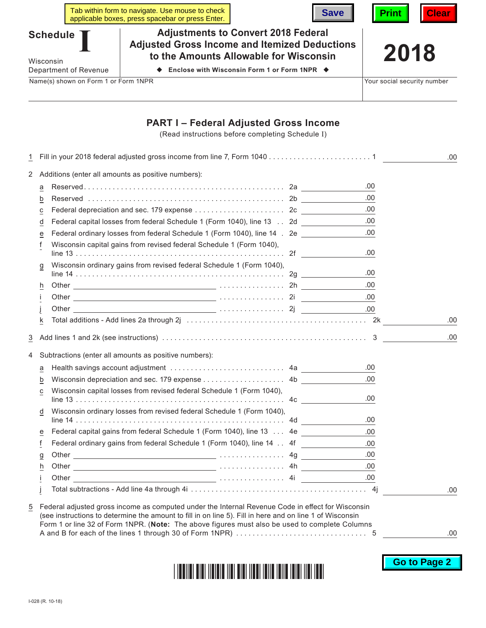|                                                                                                                                                                              | Tab within form to navigate. Use mouse to check<br>applicable boxes, press spacebar or press Enter. | <b>Save</b>                                                                                       | <b>Print</b><br><b>Clear</b> |  |  |
|------------------------------------------------------------------------------------------------------------------------------------------------------------------------------|-----------------------------------------------------------------------------------------------------|---------------------------------------------------------------------------------------------------|------------------------------|--|--|
| <b>Adjustments to Convert 2018 Federal</b><br><b>Schedule</b><br><b>Adjusted Gross Income and Itemized Deductions</b><br>to the Amounts Allowable for Wisconsin<br>Wisconsin |                                                                                                     |                                                                                                   | 2018                         |  |  |
| Department of Revenue                                                                                                                                                        | Enclose with Wisconsin Form 1 or Form 1NPR $\blacklozenge$                                          |                                                                                                   |                              |  |  |
| Name(s) shown on Form 1 or Form 1NPR                                                                                                                                         |                                                                                                     |                                                                                                   | Your social security number  |  |  |
|                                                                                                                                                                              |                                                                                                     | <b>PART I – Federal Adjusted Gross Income</b><br>(Read instructions before completing Schedule I) |                              |  |  |
|                                                                                                                                                                              |                                                                                                     |                                                                                                   | .00.                         |  |  |

2 Additions (enter all amounts as positive numbers):

|                | a              |                                                                           | .00  |     |
|----------------|----------------|---------------------------------------------------------------------------|------|-----|
|                | b              |                                                                           | .00  |     |
|                | C              |                                                                           | .00  |     |
|                | d              | Federal capital losses from federal Schedule 1 (Form 1040), line 13 2d    | .00  |     |
|                | e              | Federal ordinary losses from federal Schedule 1 (Form 1040), line 14 . 2e | .00  |     |
|                |                | Wisconsin capital gains from revised federal Schedule 1 (Form 1040),      | .00. |     |
|                | g              | Wisconsin ordinary gains from revised federal Schedule 1 (Form 1040),     | .00. |     |
|                | h              |                                                                           | .00  |     |
|                |                |                                                                           | .00  |     |
|                |                |                                                                           |      |     |
|                | k              |                                                                           |      | .00 |
| $\overline{3}$ |                |                                                                           |      | .00 |
| 4              |                | Subtractions (enter all amounts as positive numbers):                     |      |     |
|                | a              |                                                                           | .00. |     |
|                | b              | Wisconsin depreciation and sec. 179 expense 4b                            | .00  |     |
|                | С              | Wisconsin capital losses from revised federal Schedule 1 (Form 1040),     | .00. |     |
|                | d              | Wisconsin ordinary losses from revised federal Schedule 1 (Form 1040),    | .00. |     |
|                | е              | Federal capital gains from federal Schedule 1 (Form 1040), line 13  4e    | .00  |     |
|                | f              | Federal ordinary gains from federal Schedule 1 (Form 1040), line 14 4f    | .00  |     |
|                | $\overline{a}$ |                                                                           | .00  |     |
|                | h              |                                                                           | .00  |     |
|                |                |                                                                           | .00  |     |
|                |                |                                                                           |      | .00 |
|                |                |                                                                           |      |     |

5 Federal adjusted gross income as computed under the Internal Revenue Code in effect for Wisconsin (see instructions to determine the amount to fill in on line 5). Fill in here and on line 1 of Wisconsin Form 1 or line 32 of Form 1NPR. (**Note:** The above figures must also be used to complete Columns A and B for each of the lines 1 through 30 of Form 1NPR) . . . . . . . . . . . . . . . . . . . . . . . . . . . . . . . . 5

.00

**Go to Page 2**